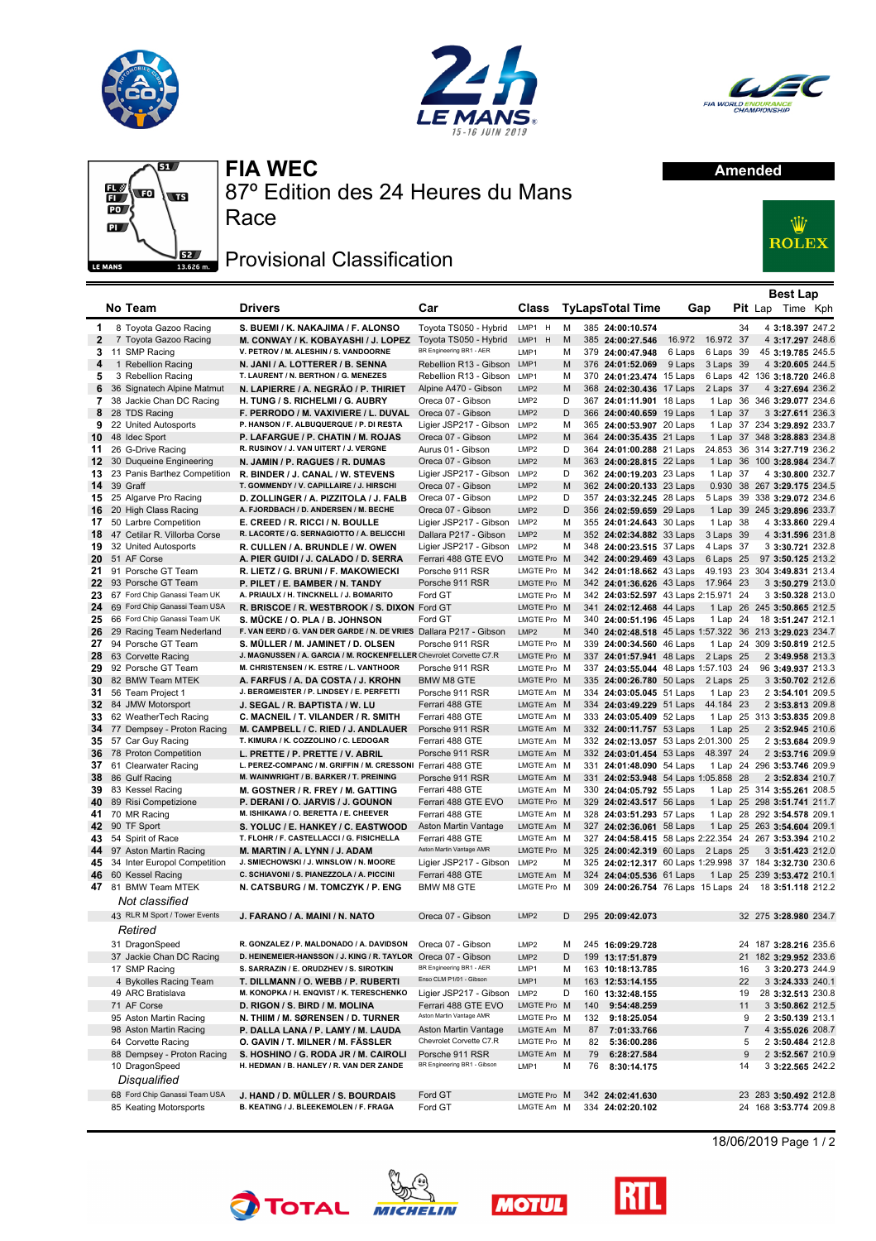







## **FIA WEC**

87º Edition des 24 Heures du Mans

## Race

## Provisional Classification



|                   |                                          |                                                                                                         |                                                |                                 |        |     |                                                         |                  |           |    | <b>Best Lap</b>                                 |  |
|-------------------|------------------------------------------|---------------------------------------------------------------------------------------------------------|------------------------------------------------|---------------------------------|--------|-----|---------------------------------------------------------|------------------|-----------|----|-------------------------------------------------|--|
|                   | No Team                                  | <b>Drivers</b>                                                                                          | Car                                            | Class                           |        |     | <b>TyLapsTotal Time</b>                                 |                  | Gap       |    | <b>Pit</b> Lap Time Kph                         |  |
|                   |                                          |                                                                                                         |                                                |                                 |        |     |                                                         |                  |           |    |                                                 |  |
| 1                 | 8 Toyota Gazoo Racing                    | S. BUEMI / K. NAKAJIMA / F. ALONSO                                                                      | Toyota TS050 - Hybrid<br>Tovota TS050 - Hybrid | LMP1 H<br>LMP1 H                | М<br>M |     | 385 24:00:10.574                                        |                  | 16.972 37 | 34 | 4 3:18.397 247.2                                |  |
| $\mathbf{2}$<br>3 | 7 Toyota Gazoo Racing<br>11 SMP Racing   | M. CONWAY / K. KOBAYASHI / J. LOPEZ<br>V. PETROV / M. ALESHIN / S. VANDOORNE                            | BR Engineering BR1 - AER                       | LMP1                            | м      |     | 385 24:00:27.546<br>379 24:00:47.948                    | 16.972<br>6 Laps | 6 Laps 39 |    | 4 3:17.297 248.6<br>45 3:19.785 245.5           |  |
| 4                 | 1 Rebellion Racing                       | N. JANI / A. LOTTERER / B. SENNA                                                                        | Rebellion R13 - Gibson                         | LMP1                            | M      |     | 376 24:01:52.069                                        | 9 Laps           | 3 Laps 39 |    | 4 3:20.605 244.5                                |  |
| 5                 | 3 Rebellion Racing                       | T. LAURENT / N. BERTHON / G. MENEZES                                                                    | Rebellion R13 - Gibson                         | LMP1                            | м      |     | 370 24:01:23.474 15 Laps                                |                  |           |    | 6 Laps 42 136 3:18.720 246.8                    |  |
| 6                 | 36 Signatech Alpine Matmut               | N. LAPIERRE / A. NEGRÃO / P. THIRIET                                                                    | Alpine A470 - Gibson                           | LMP <sub>2</sub>                | M      |     | 368 24:02:30.436                                        | 17 Laps          | 2 Laps 37 |    | 4 3:27.694 236.2                                |  |
| 7                 | 38 Jackie Chan DC Racing                 | H. TUNG / S. RICHELMI / G. AUBRY                                                                        | Oreca 07 - Gibson                              | LMP <sub>2</sub>                | D      |     | 367 24:01:11.901 18 Laps                                |                  |           |    | 1 Lap 36 346 3:29.077 234.6                     |  |
| 8                 | 28 TDS Racing                            | F. PERRODO / M. VAXIVIERE / L. DUVAL                                                                    | Oreca 07 - Gibson                              | LMP <sub>2</sub>                | D      |     | 366 24:00:40.659 19 Laps                                |                  | 1 Lap 37  |    | 3 3:27.611 236.3                                |  |
| 9                 | 22 United Autosports                     | P. HANSON / F. ALBUQUERQUE / P. DI RESTA                                                                | Ligier JSP217 - Gibson LMP2                    |                                 | м      |     | 365 24:00:53.907 20 Laps                                |                  |           |    | 1 Lap 37 234 3:29.892 233.7                     |  |
| 10                | 48 Idec Sport                            | P. LAFARGUE / P. CHATIN / M. ROJAS                                                                      | Oreca 07 - Gibson                              | LMP <sub>2</sub>                | M      |     | 364 24:00:35.435 21 Laps                                |                  |           |    | 1 Lap 37 348 3:28.883 234.8                     |  |
| 11                | 26 G-Drive Racing                        | R. RUSINOV / J. VAN UITERT / J. VERGNE                                                                  | Aurus 01 - Gibson                              | LMP2                            | D      |     | 364 24:01:00.288 21 Laps                                |                  |           |    | 24.853 36 314 3:27.719 236.2                    |  |
| 12                | 30 Duqueine Engineering                  | N. JAMIN / P. RAGUES / R. DUMAS                                                                         | Oreca 07 - Gibson                              | LMP <sub>2</sub>                | M      |     | 363 24:00:28.815 22 Laps                                |                  | 1 Lap     | 36 | 100 3:28.984 234.7                              |  |
| 13                | 23 Panis Barthez Competition             | R. BINDER / J. CANAL / W. STEVENS                                                                       | Ligier JSP217 - Gibson LMP2                    |                                 | D      |     | 362 24:00:19.203 23 Laps                                |                  | 1 Lap 37  |    | 4 3:30.800 232.7                                |  |
| 14                | 39 Graff                                 | T. GOMMENDY / V. CAPILLAIRE / J. HIRSCHI                                                                | Oreca 07 - Gibson                              | LMP <sub>2</sub>                | M      |     | 362 24:00:20.133 23 Laps                                |                  |           |    | 0.930 38 267 3:29.175 234.5                     |  |
| 15                | 25 Algarve Pro Racing                    | D. ZOLLINGER / A. PIZZITOLA / J. FALB                                                                   | Oreca 07 - Gibson                              | LMP2                            | D      |     | 357 24:03:32.245 28 Laps                                |                  |           |    | 5 Laps 39 338 3:29.072 234.6                    |  |
| 16                | 20 High Class Racing                     | A. FJORDBACH / D. ANDERSEN / M. BECHE                                                                   | Oreca 07 - Gibson                              | LMP <sub>2</sub>                | D      |     | 356 24:02:59.659 29 Laps                                |                  |           |    | 1 Lap 39 245 3:29.896 233.7                     |  |
| 17                | 50 Larbre Competition                    | E. CREED / R. RICCI / N. BOULLE                                                                         | Ligier JSP217 - Gibson LMP2                    |                                 | м      |     | 355 24:01:24.643 30 Laps                                |                  | 1 Lap 38  |    | 4 3:33.860 229.4                                |  |
| 18                | 47 Cetilar R. Villorba Corse             | R. LACORTE / G. SERNAGIOTTO / A. BELICCHI                                                               | Dallara P217 - Gibson                          | LMP2                            | M      |     | 352 24:02:34.882 33 Laps                                |                  | 3 Laps 39 |    | 4 3:31.596 231.8                                |  |
| 19                | 32 United Autosports                     | R. CULLEN / A. BRUNDLE / W. OWEN                                                                        | Ligier JSP217 - Gibson LMP2                    |                                 | м      |     | 348 24:00:23.515 37 Laps                                |                  | 4 Laps 37 |    | 3 3:30.721 232.8                                |  |
| 20                | 51 AF Corse                              | A. PIER GUIDI / J. CALADO / D. SERRA                                                                    | Ferrari 488 GTE EVO                            | <b>LMGTE Pro</b>                | M      |     | 342 24:00:29.469 43 Laps                                |                  | 6 Laps 25 |    | 97 3:50.125 213.2                               |  |
| 21                | 91 Porsche GT Team                       | R. LIETZ / G. BRUNI / F. MAKOWIECKI                                                                     | Porsche 911 RSR                                | LMGTE Pro M                     |        |     | 342 24:01:18.662 43 Laps                                |                  |           |    | 49.193 23 304 3:49.831 213.4                    |  |
| 22                | 93 Porsche GT Team                       | P. PILET / E. BAMBER / N. TANDY                                                                         | Porsche 911 RSR                                | LMGTE Pro M                     |        |     | 342 24:01:36.626 43 Laps                                |                  | 17.964 23 |    | 3 3:50.279 213.0                                |  |
| 23                | 67 Ford Chip Ganassi Team UK             | A. PRIAULX / H. TINCKNELL / J. BOMARITO                                                                 | Ford GT                                        | LMGTE Pro M                     |        |     | 342 24:03:52.597 43 Laps 2:15.971 24                    |                  |           |    | 3 3:50.328 213.0                                |  |
| 24                | 69 Ford Chip Ganassi Team USA            | R. BRISCOE / R. WESTBROOK / S. DIXON Ford GT                                                            |                                                | LMGTE Pro M                     |        |     | 341 24:02:12.468 44 Laps                                |                  |           |    | 1 Lap 26 245 3:50.865 212.5                     |  |
| 25                | 66 Ford Chip Ganassi Team UK             | S. MÜCKE / O. PLA / B. JOHNSON                                                                          | Ford GT                                        | LMGTE Pro M                     |        |     | 340 24:00:51.196 45 Laps                                |                  | 1 Lap 24  |    | 18 3:51.247 212.1                               |  |
| 26                | 29 Racing Team Nederland                 | F. VAN EERD / G. VAN DER GARDE / N. DE VRIES Dallara P217 - Gibson                                      |                                                | LMP <sub>2</sub><br>LMGTE Pro M | M      |     | 340 24:02:48.518 45 Laps 1:57.322 36 213 3:29.023 234.7 |                  |           |    |                                                 |  |
| 27<br>28          | 94 Porsche GT Team<br>63 Corvette Racing | S. MÜLLER / M. JAMINET / D. OLSEN<br>J. MAGNUSSEN / A. GARCIA / M. ROCKENFELLER Chevrolet Corvette C7.R | Porsche 911 RSR                                | LMGTE Pro M                     |        |     | 339 24:00:34.560 46 Laps<br>337 24:01:57.941 48 Laps    |                  | 2 Laps 25 |    | 1 Lap 24 309 3:50.819 212.5<br>2 3:49.958 213.3 |  |
| 29                | 92 Porsche GT Team                       | M. CHRISTENSEN / K. ESTRE / L. VANTHOOR                                                                 | Porsche 911 RSR                                | LMGTE Pro M                     |        |     | 337 24:03:55.044 48 Laps 1:57.103 24                    |                  |           |    | 96 3:49.937 213.3                               |  |
| 30                | 82 BMW Team MTEK                         | A. FARFUS / A. DA COSTA / J. KROHN                                                                      | BMW M8 GTE                                     | LMGTE Pro M                     |        |     | 335 24:00:26.780 50 Laps                                |                  | 2 Laps 25 |    | 3 3:50.702 212.6                                |  |
| 31                | 56 Team Project 1                        | J. BERGMEISTER / P. LINDSEY / E. PERFETTI                                                               | Porsche 911 RSR                                | LMGTE Am M                      |        |     | 334 24:03:05.045 51 Laps                                |                  | 1 Lap 23  |    | 2 3:54.101 209.5                                |  |
| 32                | 84 JMW Motorsport                        | J. SEGAL / R. BAPTISTA / W. LU                                                                          | Ferrari 488 GTE                                | LMGTE Am M                      |        |     | 334 24:03:49.229 51 Laps                                |                  | 44.184 23 |    | 2 3:53.813 209.8                                |  |
| 33                | 62 WeatherTech Racing                    | C. MACNEIL / T. VILANDER / R. SMITH                                                                     | Ferrari 488 GTE                                | LMGTE Am M                      |        |     | 333 24:03:05.409 52 Laps                                |                  |           |    | 1 Lap 25 313 3:53.835 209.8                     |  |
| 34                | 77 Dempsey - Proton Racing               | M. CAMPBELL / C. RIED / J. ANDLAUER                                                                     | Porsche 911 RSR                                | LMGTE Am M                      |        |     | 332 24:00:11.757 53 Laps                                |                  | 1 Lap 25  |    | 2 3:52.945 210.6                                |  |
| 35                | 57 Car Guy Racing                        | T. KIMURA / K. COZZOLINO / C. LEDOGAR                                                                   | Ferrari 488 GTE                                | LMGTE Am M                      |        |     | 332 24:02:13.057 53 Laps 2:01.300 25                    |                  |           |    | 2 3:53.684 209.9                                |  |
| 36                | 78 Proton Competition                    | L. PRETTE / P. PRETTE / V. ABRIL                                                                        | Porsche 911 RSR                                | LMGTE Am M                      |        |     | 332 24:03:01.454 53 Laps                                |                  | 48.397 24 |    | 2 3:53.716 209.9                                |  |
| 37                | 61 Clearwater Racing                     | L. PEREZ-COMPANC / M. GRIFFIN / M. CRESSONI Ferrari 488 GTE                                             |                                                | LMGTE Am M                      |        |     | 331 24:01:48.090 54 Laps                                |                  |           |    | 1 Lap 24 296 3:53.746 209.9                     |  |
| 38                | 86 Gulf Racing                           | M. WAINWRIGHT / B. BARKER / T. PREINING                                                                 | Porsche 911 RSR                                | LMGTE Am M                      |        |     | 331 24:02:53.948 54 Laps 1:05.858 28                    |                  |           |    | 2 3:52.834 210.7                                |  |
| 39                | 83 Kessel Racing                         | M. GOSTNER / R. FREY / M. GATTING                                                                       | Ferrari 488 GTE                                | LMGTE Am M                      |        |     | 330 24:04:05.792 55 Laps                                |                  |           |    | 1 Lap 25 314 3:55.261 208.5                     |  |
| 40                | 89 Risi Competizione                     | P. DERANI / O. JARVIS / J. GOUNON                                                                       | Ferrari 488 GTE EVO                            | LMGTE Pro M                     |        |     | 329 24:02:43.517 56 Laps                                |                  |           |    | 1 Lap 25 298 3:51.741 211.7                     |  |
| 41                | 70 MR Racing                             | M. ISHIKAWA / O. BERETTA / E. CHEEVER                                                                   | Ferrari 488 GTE                                | LMGTE Am M                      |        |     | 328 24:03:51.293 57 Laps                                |                  |           |    | 1 Lap 28 292 3:54.578 209.1                     |  |
| 42                | 90 TF Sport                              | S. YOLUC / E. HANKEY / C. EASTWOOD                                                                      | Aston Martin Vantage                           | LMGTE Am M                      |        |     | 327 24:02:36.061 58 Laps                                |                  |           |    | 1 Lap 25 263 3:54.604 209.1                     |  |
| 43                | 54 Spirit of Race                        | T. FLOHR / F. CASTELLACCI / G. FISICHELLA                                                               | Ferrari 488 GTE                                | LMGTE Am M                      |        |     | 327 24:04:58.415 58 Laps 2:22.354 24 267 3:53.394 210.2 |                  |           |    |                                                 |  |
| 44                | 97 Aston Martin Racing                   | M. MARTIN / A. LYNN / J. ADAM                                                                           | Aston Martin Vantage AMR                       | LMGTE Pro M                     |        |     | 325 24:00:42.319 60 Laps                                |                  | 2 Laps 25 |    | 3 3:51.423 212.0                                |  |
| 45                | 34 Inter Europol Competition             | J. SMIECHOWSKI / J. WINSLOW / N. MOORE                                                                  | Ligier JSP217 - Gibson                         | LMP2                            | м      |     | 325 24:02:12.317 60 Laps 1:29.998 37 184 3:32.730 230.6 |                  |           |    |                                                 |  |
| 46                | 60 Kessel Racing                         | C. SCHIAVONI / S. PIANEZZOLA / A. PICCINI                                                               | Ferrari 488 GTE                                | LMGTE Am M                      |        |     | 324 24:04:05.536 61 Laps                                |                  |           |    | 1 Lap 25 239 3:53.472 210.1                     |  |
| 47                | 81 BMW Team MTEK                         | N. CATSBURG / M. TOMCZYK / P. ENG                                                                       | BMW M8 GTE                                     | LMGTE Pro M                     |        |     | 309 24:00:26.754 76 Laps 15 Laps 24 18 3:51.118 212.2   |                  |           |    |                                                 |  |
|                   | Not classified                           |                                                                                                         |                                                |                                 |        |     |                                                         |                  |           |    |                                                 |  |
|                   | 43 RLR M Sport / Tower Events            | J. FARANO / A. MAINI / N. NATO                                                                          | Oreca 07 - Gibson                              | LMP2                            | D      |     | 295 20:09:42.073                                        |                  |           |    | 32 275 3:28.980 234.7                           |  |
|                   | Retired                                  |                                                                                                         |                                                |                                 |        |     |                                                         |                  |           |    |                                                 |  |
|                   | 31 DragonSpeed                           | R. GONZALEZ / P. MALDONADO / A. DAVIDSON                                                                | Oreca 07 - Gibson                              | LMP <sub>2</sub>                | м      |     | 245 16:09:29.728                                        |                  |           |    | 24 187 3:28.216 235.6                           |  |
|                   | 37 Jackie Chan DC Racing                 | D. HEINEMEIER-HANSSON / J. KING / R. TAYLOR Oreca 07 - Gibson                                           |                                                | LMP2                            | D      |     | 199 13:17:51.879                                        |                  |           |    | 21 182 3:29.952 233.6                           |  |
|                   | 17 SMP Racing                            | S. SARRAZIN / E. ORUDZHEV / S. SIROTKIN                                                                 | BR Engineering BR1 - AER                       | LMP1                            | м      |     | 163 10:18:13.785                                        |                  |           | 16 | 3 3:20.273 244.9                                |  |
|                   | 4 Bykolles Racing Team                   | T. DILLMANN / O. WEBB / P. RUBERTI                                                                      | Enso CLM P1/01 - Gibson                        | LMP1                            | M      |     | 163 12:53:14.155                                        |                  |           | 22 | 3 3:24.333 240.1                                |  |
|                   | 49 ARC Bratislava                        | M. KONOPKA / H. ENQVIST / K. TERESCHENKO                                                                | Ligier JSP217 - Gibson                         | LMP2                            | D      |     | 160 13:32:48.155                                        |                  |           | 19 | 28 3:32.513 230.8                               |  |
|                   | 71 AF Corse                              | D. RIGON / S. BIRD / M. MOLINA                                                                          | Ferrari 488 GTE EVO                            | LMGTE Pro M                     |        | 140 | 9:54:48.259                                             |                  |           | 11 | 3 3:50.862 212.5                                |  |
|                   | 95 Aston Martin Racing                   | N. THIIM / M. SØRENSEN / D. TURNER                                                                      | Aston Martin Vantage AMR                       | LMGTE Pro M                     |        | 132 | 9:18:25.054                                             |                  |           | 9  | 2 3:50.139 213.1                                |  |
|                   | 98 Aston Martin Racing                   | P. DALLA LANA / P. LAMY / M. LAUDA                                                                      | Aston Martin Vantage                           | LMGTE Am M                      |        | 87  | 7:01:33.766                                             |                  |           |    | 4 3:55.026 208.7                                |  |
|                   | 64 Corvette Racing                       | O. GAVIN / T. MILNER / M. FÄSSLER                                                                       | Chevrolet Corvette C7.R                        | LMGTE Pro M                     |        | 82  | 5:36:00.286                                             |                  |           | 5  | 2 3:50.484 212.8                                |  |
|                   | 88 Dempsey - Proton Racing               | S. HOSHINO / G. RODA JR / M. CAIROLI                                                                    | Porsche 911 RSR                                | LMGTE Am M                      |        | 79  | 6:28:27.584                                             |                  |           | 9  | 2 3:52.567 210.9                                |  |
|                   | 10 DragonSpeed                           | H. HEDMAN / B. HANLEY / R. VAN DER ZANDE                                                                | BR Engineering BR1 - Gibson                    | LMP1                            | M      | 76  | 8:30:14.175                                             |                  |           | 14 | 3 3:22.565 242.2                                |  |
|                   | <b>Disqualified</b>                      |                                                                                                         |                                                |                                 |        |     |                                                         |                  |           |    |                                                 |  |
|                   | 68 Ford Chip Ganassi Team USA            | J. HAND / D. MÜLLER / S. BOURDAIS                                                                       | Ford GT                                        | LMGTE Pro M                     |        |     | 342 24:02:41.630                                        |                  |           |    | 23 283 3:50.492 212.8                           |  |
|                   | 85 Keating Motorsports                   | B. KEATING / J. BLEEKEMOLEN / F. FRAGA                                                                  | Ford GT                                        | LMGTE Am M                      |        |     | 334 24:02:20.102                                        |                  |           |    | 24 168 3:53.774 209.8                           |  |
|                   |                                          |                                                                                                         |                                                |                                 |        |     |                                                         |                  |           |    |                                                 |  |





**TOTAL**